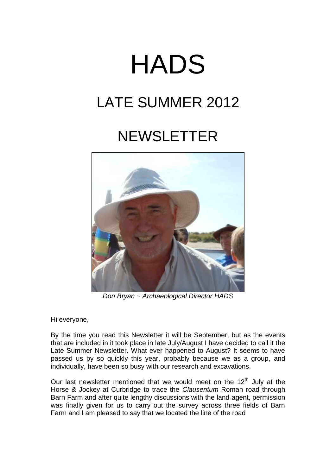# HADS

# LATE SUMMER 2012

# **NEWSLETTER**



*Don Bryan ~ Archaeological Director HADS*

Hi everyone,

By the time you read this Newsletter it will be September, but as the events that are included in it took place in late July/August I have decided to call it the Late Summer Newsletter. What ever happened to August? It seems to have passed us by so quickly this year, probably because we as a group, and individually, have been so busy with our research and excavations.

Our last newsletter mentioned that we would meet on the  $12<sup>th</sup>$  July at the Horse & Jockey at Curbridge to trace the *Clausentum* Roman road through Barn Farm and after quite lengthy discussions with the land agent, permission was finally given for us to carry out the survey across three fields of Barn Farm and I am pleased to say that we located the line of the road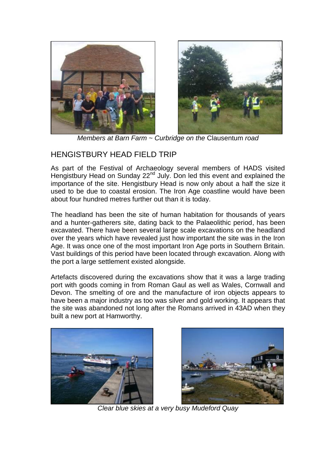

*Members at Barn Farm ~ Curbridge on the* Clausentum *road*

### HENGISTBURY HEAD FIELD TRIP

As part of the Festival of Archaeology several members of HADS visited Hengistbury Head on Sunday 22<sup>nd</sup> July. Don led this event and explained the importance of the site. Hengistbury Head is now only about a half the size it used to be due to coastal erosion. The Iron Age coastline would have been about four hundred metres further out than it is today.

The headland has been the site of human habitation for thousands of years and a hunter-gatherers site, dating back to the Palaeolithic period, has been excavated. There have been several large scale excavations on the headland over the years which have revealed just how important the site was in the Iron Age. It was once one of the most important Iron Age ports in Southern Britain. Vast buildings of this period have been located through excavation. Along with the port a large settlement existed alongside.

Artefacts discovered during the excavations show that it was a large trading port with goods coming in from Roman Gaul as well as Wales, Cornwall and Devon. The smelting of ore and the manufacture of iron objects appears to have been a major industry as too was silver and gold working. It appears that the site was abandoned not long after the Romans arrived in 43AD when they built a new port at Hamworthy.





*Clear blue skies at a very busy Mudeford Quay*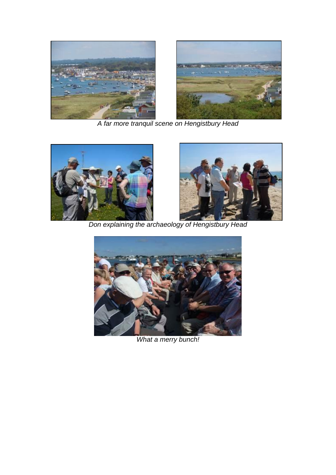

*A far more tranquil scene on Hengistbury Head*





*Don explaining the archaeology of Hengistbury Head*



*What a merry bunch!*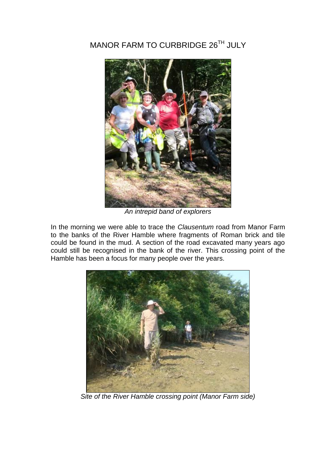# MANOR FARM TO CURBRIDGE 26TH JULY



*An intrepid band of explorers*

In the morning we were able to trace the *Clausentum* road from Manor Farm to the banks of the River Hamble where fragments of Roman brick and tile could be found in the mud. A section of the road excavated many years ago could still be recognised in the bank of the river. This crossing point of the Hamble has been a focus for many people over the years.



*Site of the River Hamble crossing point (Manor Farm side)*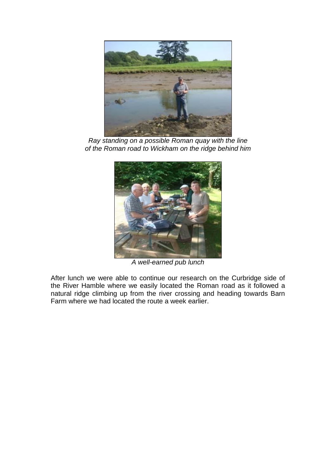

*Ray standing on a possible Roman quay with the line of the Roman road to Wickham on the ridge behind him*



*A well-earned pub lunch*

After lunch we were able to continue our research on the Curbridge side of the River Hamble where we easily located the Roman road as it followed a natural ridge climbing up from the river crossing and heading towards Barn Farm where we had located the route a week earlier.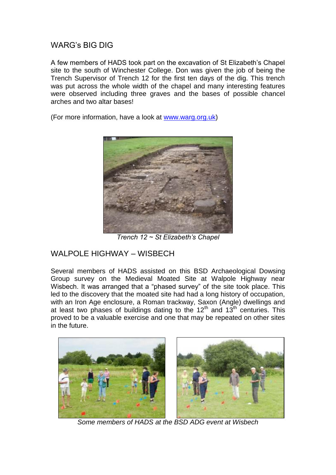WARG's BIG DIG

A few members of HADS took part on the excavation of St Elizabeth's Chapel site to the south of Winchester College. Don was given the job of being the Trench Supervisor of Trench 12 for the first ten days of the dig. This trench was put across the whole width of the chapel and many interesting features were observed including three graves and the bases of possible chancel arches and two altar bases!

(For more information, have a look at [www.warg.org.uk\)](http://www.warg.org.uk/)



*Trench 12 ~ St Elizabeth's Chapel*

#### WALPOLE HIGHWAY – WISBECH

Several members of HADS assisted on this BSD Archaeological Dowsing Group survey on the Medieval Moated Site at Walpole Highway near Wisbech. It was arranged that a "phased survey" of the site took place. This led to the discovery that the moated site had had a long history of occupation, with an Iron Age enclosure, a Roman trackway, Saxon (Angle) dwellings and at least two phases of buildings dating to the  $12<sup>th</sup>$  and  $13<sup>th</sup>$  centuries. This proved to be a valuable exercise and one that may be repeated on other sites in the future.



*Some members of HADS at the BSD ADG event at Wisbech*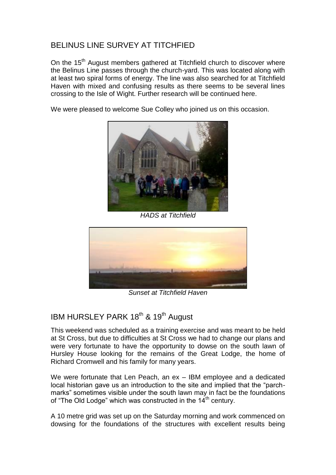## BELINUS LINE SURVEY AT TITCHFIED

On the 15<sup>th</sup> August members gathered at Titchfield church to discover where the Belinus Line passes through the church-yard. This was located along with at least two spiral forms of energy. The line was also searched for at Titchfield Haven with mixed and confusing results as there seems to be several lines crossing to the Isle of Wight. Further research will be continued here.

We were pleased to welcome Sue Colley who joined us on this occasion.



*HADS at Titchfield*



*Sunset at Titchfield Haven*

## IBM HURSLEY PARK 18<sup>th</sup> & 19<sup>th</sup> August

This weekend was scheduled as a training exercise and was meant to be held at St Cross, but due to difficulties at St Cross we had to change our plans and were very fortunate to have the opportunity to dowse on the south lawn of Hursley House looking for the remains of the Great Lodge, the home of Richard Cromwell and his family for many years.

We were fortunate that Len Peach, an ex – IBM employee and a dedicated local historian gave us an introduction to the site and implied that the "parchmarks" sometimes visible under the south lawn may in fact be the foundations of "The Old Lodge" which was constructed in the  $14<sup>th</sup>$  century.

A 10 metre grid was set up on the Saturday morning and work commenced on dowsing for the foundations of the structures with excellent results being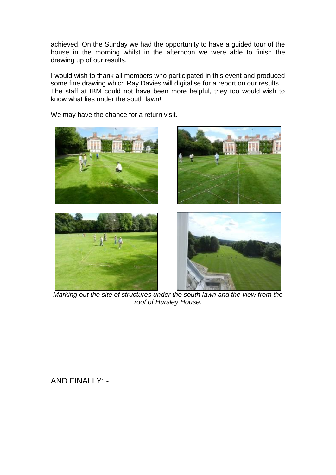achieved. On the Sunday we had the opportunity to have a guided tour of the house in the morning whilst in the afternoon we were able to finish the drawing up of our results.

I would wish to thank all members who participated in this event and produced some fine drawing which Ray Davies will digitalise for a report on our results. The staff at IBM could not have been more helpful, they too would wish to know what lies under the south lawn!

We may have the chance for a return visit.



*Marking out the site of structures under the south lawn and the view from the roof of Hursley House.*

AND FINALLY: -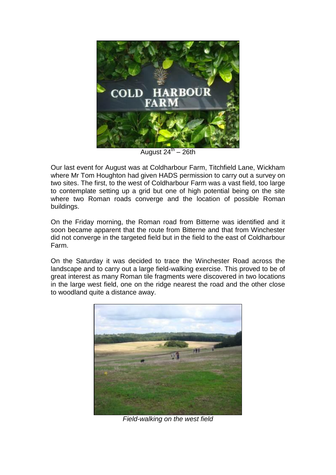

August 24<sup>th</sup> – 26th

Our last event for August was at Coldharbour Farm, Titchfield Lane, Wickham where Mr Tom Houghton had given HADS permission to carry out a survey on two sites. The first, to the west of Coldharbour Farm was a vast field, too large to contemplate setting up a grid but one of high potential being on the site where two Roman roads converge and the location of possible Roman buildings.

On the Friday morning, the Roman road from Bitterne was identified and it soon became apparent that the route from Bitterne and that from Winchester did not converge in the targeted field but in the field to the east of Coldharbour Farm.

On the Saturday it was decided to trace the Winchester Road across the landscape and to carry out a large field-walking exercise. This proved to be of great interest as many Roman tile fragments were discovered in two locations in the large west field, one on the ridge nearest the road and the other close to woodland quite a distance away.



*Field-walking on the west field*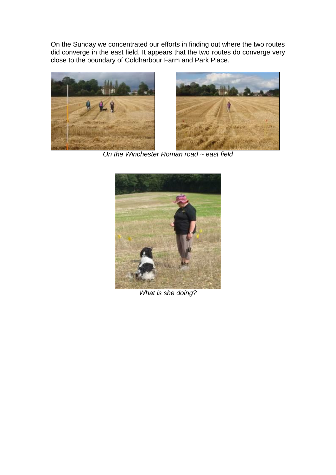On the Sunday we concentrated our efforts in finding out where the two routes did converge in the east field. It appears that the two routes do converge very close to the boundary of Coldharbour Farm and Park Place.





*On the Winchester Roman road ~ east field*



*What is she doing?*